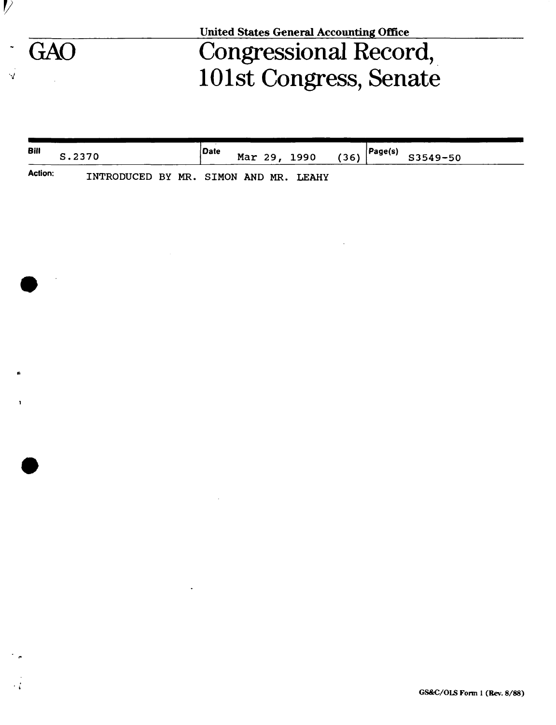|     | <b>United States General Accounting Office</b> |  |  |  |  |  |
|-----|------------------------------------------------|--|--|--|--|--|
| GAO | Congressional Record,                          |  |  |  |  |  |
|     | 101st Congress, Senate                         |  |  |  |  |  |

 $\mathcal{V}$ 

 $\ddot{\phantom{0}}$ 

 $\frac{1}{2}$ 

 $\bar{ }$ 

¢,

 $\mathbf{I}$ 

J.

 $\cdot$  (

| Bill           | S.2370                                | <i>Date</i> |  | Mar 29, 1990 | (36) | $\vert$ Page(s) | S3549-50 |  |
|----------------|---------------------------------------|-------------|--|--------------|------|-----------------|----------|--|
| <b>Action:</b> | INTRODUCED BY MR. SIMON AND MR. LEAHY |             |  |              |      |                 |          |  |

 $\mathcal{A}$ 

 $\sim$   $\sim$ 

 $\sim$   $\sim$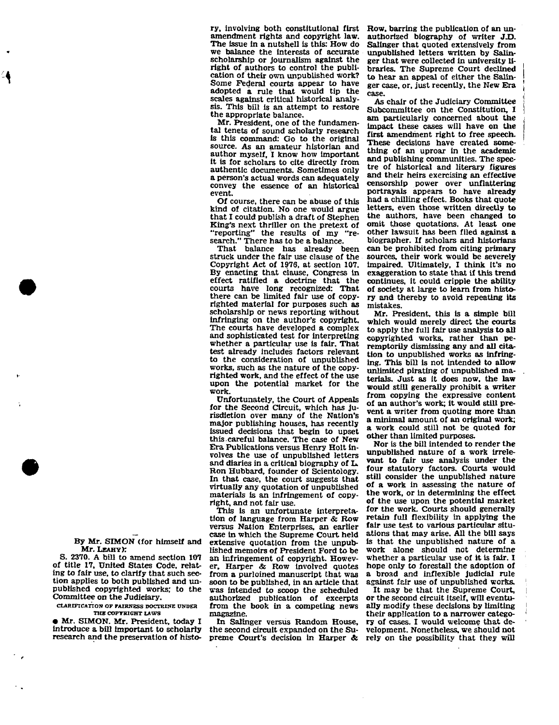ry, involving both constitutional first amendment rights and copyright law. The issue in a nutshell is this: How do we balance the interests of accurate scholarship or journalism against the right of authors to control the publication of their own unpublished work? Some Federal courts appear to have adopted a rule that would tip the scales against critical historical analysis. This bill is an attempt to restore the appropriate balance.

Mr. President, one of the fundamental tenets of sound scholarly research is this command: Go to the original source. As an amateur historian and author myself, I know how important it is for scholars to cite directly from authentic documents. Sometimes only a person's actual words can adequately convey the essence of an historical event.

Of course, there can be abuse of this kind of citation. No one would argue that I could publish a draft of Stephen King's next thriller on the pretext of<br>"reporting" the results of my "re-"reporting" the results of my search." There has to be a balance.

That balance has already been struck under the fair use clause of the Copyright Act of 1976, at section 107. By enacting that clause, Congress in effect ratified a doctrine that the courts have long recognized: That there can be limited fair use of copyrighted material for purposes such as scholarship or news reporting without infringing on the author's copyright. The courts have developed a complex and sophisticated test for interpreting whether a particular use is fair. That test already includes factors relevant to the consideration of unpublished works, such as the nature of the copyrighted work, and the effect of the use upon the potential market for the work.

Unfortunately, the Court of Appeals for the Second Circuit, which has jurisdiction over many of the Nation's major publishing houses, has recently issued decisions that begin to upset this.careful balance. The case of New Era Publications versus Henry Holt involves the use of unpublished letters and diaries in a critical biography of L. Ron Hubbard, founder of Scientology. In that case, the court suggests that virtually any quotation of unpublished materials is an Infringement of copyright, and not fair use.

This is an unfortunate interpretation of language from Harper & Row versus Nation Enterprises, an earlier case in which the Supreme Court held extensive quotation from the unpublished memoirs of President Ford to be an infringement of copyright. However, Harper & Row involved quotes from a purloined manuscript that was soon to be published, in an article that was intended to scoop the scheduled authorized publication of excerpts from the book in a competing news magazine.

In Salinger versus Random House, the second circuit expanded on the Supreme Court's decision in Harper & Row, barring the publication of an unauthorized biography of writer J.D. Salinger that quoted extensively from unpublished letters written by Salinger that were collected in university libraries. The Supreme Court declined to hear an appeal of either the Salinger case, or, just recently, the New Era case.

As chair of the Judiciary Committee Subcommittee on the Constitution, I am particularly concerned about the impact these cases will have on the first amendment right to free speech. These decisions have created something of an uproar in the academic and publishing communities. The spectre of historical and literary figures and their heirs exercising an effective censorship power over unflattering portrayals appears to have already had a chilling effect. Books that quote letters, even those written directly to the authors, have been changed to omit those quotations. At least one other lawsuit has been filed against a biographer. If scholars and historians can be prohibited from citing primary sources, their work would be severely impaired. Ultimately, I think it's no exaggeration to state that if this trend continues, it could cripple the ability of society at large to learn from history and thereby to avoid repeating its mistakes.

Mr. President, this is a simple bill which would merely direct the courts to apply the full fair use analysis to all copyrighted works, rather than peremptorily dismissing any and all citation to unpublished works as infringing. This bill is not intended to allow unlimited pirating of unpublished materials. Just as it does now, the law would still generally prohibit a writer from copying the expressive content of an author's work; it would still prevent a writer from quoting more than a minimal amount of an original work; a work could still not be quoted for other than limited purposes.

Nor is the bill intended to render the unpublished nature of a work irrelevant to fair use analysis under the four statutory factors. Courts would still consider the unpublished nature of a work in assessing the nature of the work, or in determining the effect of the use upon the potential market for the work. Courts should generally retain full flexibility in applying the fair use test to various particular situations that may arise. All the bill says is that the unpublished nature of a work alone should not determine whether a particular use of it is fair. I hope only to forestall the adoption of a broad and inflexible judicial rule against fair use of unpublished works.

It may be that the Supreme Court, or the second circuit itself, will eventually modify these decisions by limiting their application to a narrower category of cases. I would welcome that development. Nonetheless, we should not rely on the possibility that they will

By Mr. SIMON (for himself and Mr. LEAHY):

S. 2370. A bill to amend section 107 of title 17. United States Code, relating to fair use. to clarify that such section applies to both published and unpublished copyrighted works; to the Committee on the Judiciary.

**CLARIFICATION OP FAIRNESS DOCTRINE UNDER THE COPYRIGHT LAWS** 

• Mr. SIMON. Mr. President, today I introduce a bill important to scholarly research and the preservation of histo